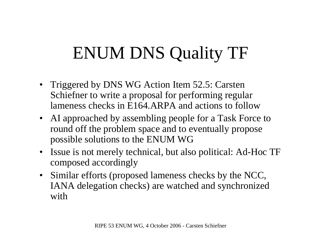## ENUM DNS Quality TF

- Triggered by DNS WG Action Item 52.5: Carsten Schiefner to write <sup>a</sup> proposal for performing regular lameness checks in E164.ARPA and actions to follow
- AI approached by assembling people for a Task Force to round off the problem space and to eventually propose possible solutions to the ENUM WG
- Issue is not merely technical, but also political: Ad-Hoc TF composed accordingly
- Similar efforts (proposed lameness checks by the NCC, IANA delegation checks) are watched and synchronized with